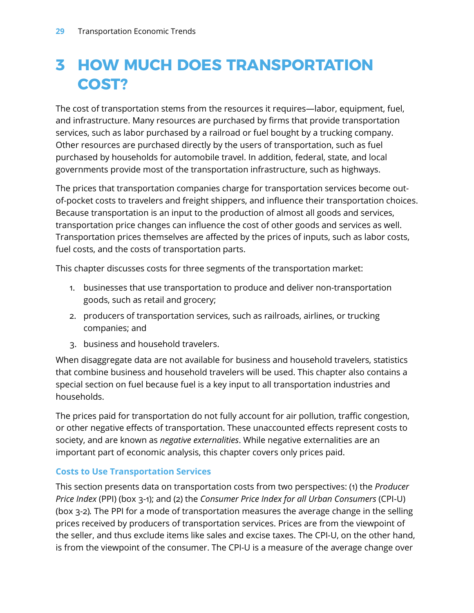# **3 HOW MUCH DOES TRANSPORTATION COST?**

The cost of transportation stems from the resources it requires—labor, equipment, fuel, and infrastructure. Many resources are purchased by firms that provide transportation services, such as labor purchased by a railroad or fuel bought by a trucking company. Other resources are purchased directly by the users of transportation, such as fuel purchased by households for automobile travel. In addition, federal, state, and local governments provide most of the transportation infrastructure, such as highways.

The prices that transportation companies charge for transportation services become outof-pocket costs to travelers and freight shippers, and influence their transportation choices. Because transportation is an input to the production of almost all goods and services, transportation price changes can influence the cost of other goods and services as well. Transportation prices themselves are affected by the prices of inputs, such as labor costs, fuel costs, and the costs of transportation parts.

This chapter discusses costs for three segments of the transportation market:

- 1. businesses that use transportation to produce and deliver non-transportation goods, such as retail and grocery;
- 2. producers of transportation services, such as railroads, airlines, or trucking companies; and
- 3. business and household travelers.

When disaggregate data are not available for business and household travelers, statistics that combine business and household travelers will be used. This chapter also contains a special section on fuel because fuel is a key input to all transportation industries and households.

The prices paid for transportation do not fully account for air pollution, traffic congestion, or other negative effects of transportation. These unaccounted effects represent costs to society, and are known as *negative externalities*. While negative externalities are an important part of economic analysis, this chapter covers only prices paid.

#### **Costs to Use Transportation Services**

This section presents data on transportation costs from two perspectives: (1) the *Producer Price Index* (PPI) (box 3-1); and (2) the *Consumer Price Index for all Urban Consumers* (CPI-U) (box 3-2)*.* The PPI for a mode of transportation measures the average change in the selling prices received by producers of transportation services. Prices are from the viewpoint of the seller, and thus exclude items like sales and excise taxes. The CPI-U, on the other hand, is from the viewpoint of the consumer. The CPI-U is a measure of the average change over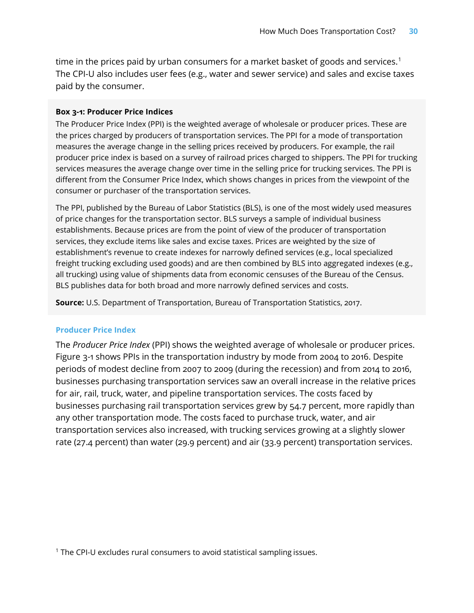time in the prices paid by urban consumers for a market basket of goods and services. $^{\rm 1}$  $^{\rm 1}$  $^{\rm 1}$ The CPI-U also includes user fees (e.g., water and sewer service) and sales and excise taxes paid by the consumer.

#### **Box 3-1: Producer Price Indices**

The Producer Price Index (PPI) is the weighted average of wholesale or producer prices. These are the prices charged by producers of transportation services. The PPI for a mode of transportation measures the average change in the selling prices received by producers. For example, the rail producer price index is based on a survey of railroad prices charged to shippers. The PPI for trucking services measures the average change over time in the selling price for trucking services. The PPI is different from the Consumer Price Index, which shows changes in prices from the viewpoint of the consumer or purchaser of the transportation services.

The PPI, published by the Bureau of Labor Statistics (BLS), is one of the most widely used measures of price changes for the transportation sector. BLS surveys a sample of individual business establishments. Because prices are from the point of view of the producer of transportation services, they exclude items like sales and excise taxes. Prices are weighted by the size of establishment's revenue to create indexes for narrowly defined services (e.g., local specialized freight trucking excluding used goods) and are then combined by BLS into aggregated indexes (e.g., all trucking) using value of shipments data from economic censuses of the Bureau of the Census. BLS publishes data for both broad and more narrowly defined services and costs.

**Source:** U.S. Department of Transportation, Bureau of Transportation Statistics, 2017.

#### **Producer Price Index**

The *Producer Price Index* (PPI) shows the weighted average of wholesale or producer prices. Figure 3-1 shows PPIs in the transportation industry by mode from 2004 to 2016. Despite periods of modest decline from 2007 to 2009 (during the recession) and from 2014 to 2016, businesses purchasing transportation services saw an overall increase in the relative prices for air, rail, truck, water, and pipeline transportation services. The costs faced by businesses purchasing rail transportation services grew by 54.7 percent, more rapidly than any other transportation mode. The costs faced to purchase truck, water, and air transportation services also increased, with trucking services growing at a slightly slower rate (27.4 percent) than water (29.9 percent) and air (33.9 percent) transportation services.

<span id="page-1-0"></span><sup>1</sup> The CPI-U excludes rural consumers to avoid statistical sampling issues.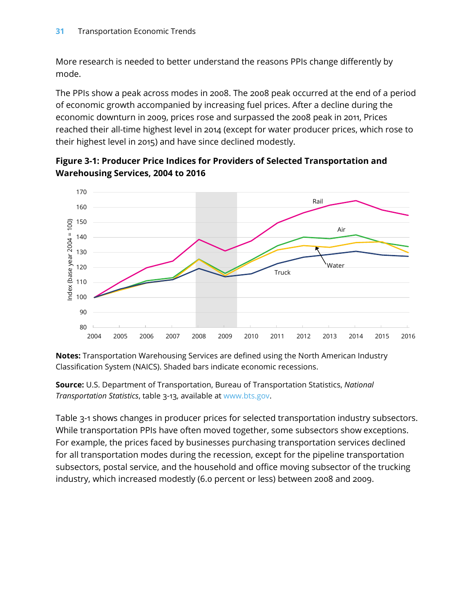More research is needed to better understand the reasons PPIs change differently by mode.

The PPIs show a peak across modes in 2008. The 2008 peak occurred at the end of a period of economic growth accompanied by increasing fuel prices. After a decline during the economic downturn in 2009, prices rose and surpassed the 2008 peak in 2011, Prices reached their all-time highest level in 2014 (except for water producer prices, which rose to their highest level in 2015) and have since declined modestly.



**Figure 3-1: Producer Price Indices for Providers of Selected Transportation and Warehousing Services, 2004 to 2016**

**Notes:** Transportation Warehousing Services are defined using the North American Industry Classification System (NAICS). Shaded bars indicate economic recessions.

**Source:** U.S. Department of Transportation, Bureau of Transportation Statistics, *National Transportation Statistics*, table 3-13, available at [www.bts.gov](http://www.bts.gov/).

Table 3-1 shows changes in producer prices for selected transportation industry subsectors. While transportation PPIs have often moved together, some subsectors show exceptions. For example, the prices faced by businesses purchasing transportation services declined for all transportation modes during the recession, except for the pipeline transportation subsectors, postal service, and the household and office moving subsector of the trucking industry, which increased modestly (6.0 percent or less) between 2008 and 2009.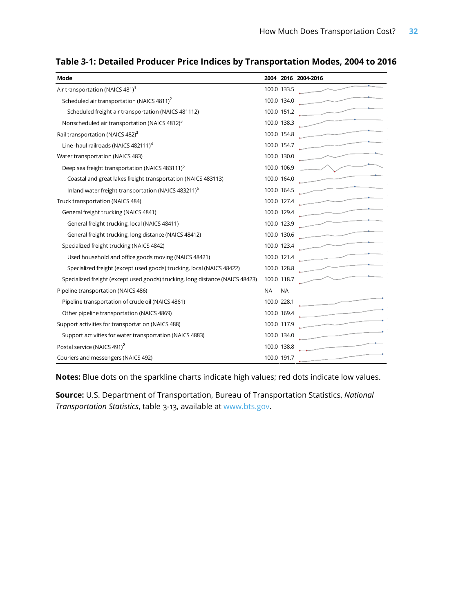| Mode                                                                          | 2004 2016 2004-2016                                                                                                                                                                                                                                                                                                                                                                        |
|-------------------------------------------------------------------------------|--------------------------------------------------------------------------------------------------------------------------------------------------------------------------------------------------------------------------------------------------------------------------------------------------------------------------------------------------------------------------------------------|
| Air transportation (NAICS 481) <sup>1</sup>                                   | 100.0 133.5                                                                                                                                                                                                                                                                                                                                                                                |
| Scheduled air transportation (NAICS 4811) <sup>2</sup>                        | $\overbrace{\phantom{aaaaa}}^{ }$<br>100.0 134.0                                                                                                                                                                                                                                                                                                                                           |
| Scheduled freight air transportation (NAICS 481112)                           | $\overbrace{\hspace{2.5cm}}^{ }$<br>100.0 151.2                                                                                                                                                                                                                                                                                                                                            |
| Nonscheduled air transportation (NAICS 4812) <sup>3</sup>                     | 100.0 138.3                                                                                                                                                                                                                                                                                                                                                                                |
| Rail transportation (NAICS 482) <sup>3</sup>                                  | $\overbrace{\hspace{2.5em}}^{}$<br>100.0 154.8                                                                                                                                                                                                                                                                                                                                             |
| Line -haul railroads (NAICS 482111) <sup>4</sup>                              | 100.0 154.7                                                                                                                                                                                                                                                                                                                                                                                |
| Water transportation (NAICS 483)                                              | 100.0 130.0                                                                                                                                                                                                                                                                                                                                                                                |
| Deep sea freight transportation (NAICS 483111) <sup>5</sup>                   | 100.0 106.9                                                                                                                                                                                                                                                                                                                                                                                |
| Coastal and great lakes freight transportation (NAICS 483113)                 | 100.0 164.0                                                                                                                                                                                                                                                                                                                                                                                |
| Inland water freight transportation (NAICS 483211) <sup>6</sup>               | 100.0 164.5                                                                                                                                                                                                                                                                                                                                                                                |
| Truck transportation (NAICS 484)                                              | $\overbrace{\hspace{2.5cm}}^{}$<br>100.0 127.4                                                                                                                                                                                                                                                                                                                                             |
| General freight trucking (NAICS 4841)                                         | $\overbrace{\hspace{2.5cm}}^{}$<br>100.0 129.4                                                                                                                                                                                                                                                                                                                                             |
| General freight trucking, local (NAICS 48411)                                 | 100.0 123.9                                                                                                                                                                                                                                                                                                                                                                                |
| General freight trucking, long distance (NAICS 48412)                         | $\overbrace{\hspace{2.5em}}^{}$<br>100.0 130.6                                                                                                                                                                                                                                                                                                                                             |
| Specialized freight trucking (NAICS 4842)                                     | $\overbrace{\hspace{27mm}}^{ }$<br>100.0 123.4                                                                                                                                                                                                                                                                                                                                             |
| Used household and office goods moving (NAICS 48421)                          | $\overline{\phantom{a}}$<br>100.0 121.4                                                                                                                                                                                                                                                                                                                                                    |
| Specialized freight (except used goods) trucking, local (NAICS 48422)         | $\begin{picture}(20,20) \put(0,0){\dashbox{0.5}(5,0){ }} \put(15,0){\dashbox{0.5}(5,0){ }} \put(15,0){\dashbox{0.5}(5,0){ }} \put(15,0){\dashbox{0.5}(5,0){ }} \put(15,0){\dashbox{0.5}(5,0){ }} \put(15,0){\dashbox{0.5}(5,0){ }} \put(15,0){\dashbox{0.5}(5,0){ }} \put(15,0){\dashbox{0.5}(5,0){ }} \put(15,0){\dashbox{0.5}(5,0){ }} \put(15,0){\dashbox{0.5}(5,0){ }}$<br>100.0 128.8 |
| Specialized freight (except used goods) trucking, long distance (NAICS 48423) | 100.0 118.7                                                                                                                                                                                                                                                                                                                                                                                |
| Pipeline transportation (NAICS 486)                                           | <b>NA</b><br><b>NA</b>                                                                                                                                                                                                                                                                                                                                                                     |
| Pipeline transportation of crude oil (NAICS 4861)                             | $\overline{\phantom{a}}$<br>100.0 228.1                                                                                                                                                                                                                                                                                                                                                    |
| Other pipeline transportation (NAICS 4869)                                    | $\overline{\phantom{a}}$<br>100.0 169.4                                                                                                                                                                                                                                                                                                                                                    |
| Support activities for transportation (NAICS 488)                             | 100.0 117.9                                                                                                                                                                                                                                                                                                                                                                                |
| Support activities for water transportation (NAICS 4883)                      | $\overline{\phantom{a}}$<br>100.0 134.0                                                                                                                                                                                                                                                                                                                                                    |
| Postal service (NAICS 491) <sup>2</sup>                                       | 100.0 138.8                                                                                                                                                                                                                                                                                                                                                                                |
| Couriers and messengers (NAICS 492)                                           | 100.0 191.7                                                                                                                                                                                                                                                                                                                                                                                |

### **Table 3-1: Detailed Producer Price Indices by Transportation Modes, 2004 to 2016**

**Notes:** Blue dots on the sparkline charts indicate high values; red dots indicate low values.

**Source:** U.S. Department of Transportation, Bureau of Transportation Statistics, *National Transportation Statistics*, table 3-13, available at [www.bts.gov](http://www.bts.gov/).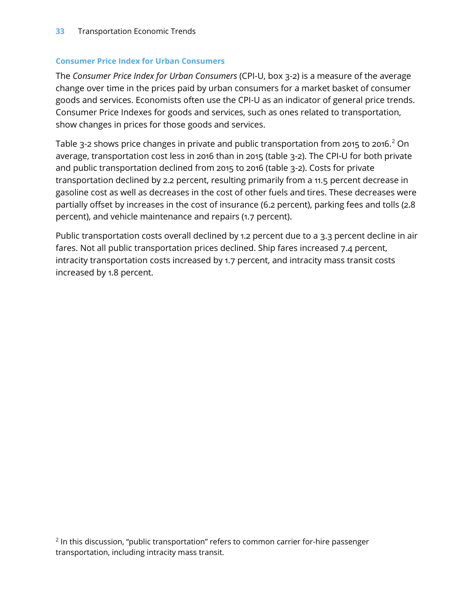#### **Consumer Price Index for Urban Consumers**

The *Consumer Price Index for Urban Consumers* (CPI-U, box 3-2) is a measure of the average change over time in the prices paid by urban consumers for a market basket of consumer goods and services. Economists often use the CPI-U as an indicator of general price trends. Consumer Price Indexes for goods and services, such as ones related to transportation, show changes in prices for those goods and services.

Table 3-2 shows price changes in private and public transportation from 2015 to 2016. [2](#page-4-0) On average, transportation cost less in 2016 than in 2015 (table 3-2). The CPI-U for both private and public transportation declined from 2015 to 2016 (table 3-2). Costs for private transportation declined by 2.2 percent, resulting primarily from a 11.5 percent decrease in gasoline cost as well as decreases in the cost of other fuels and tires. These decreases were partially offset by increases in the cost of insurance (6.2 percent), parking fees and tolls (2.8 percent), and vehicle maintenance and repairs (1.7 percent).

Public transportation costs overall declined by 1.2 percent due to a 3.3 percent decline in air fares. Not all public transportation prices declined. Ship fares increased 7.4 percent, intracity transportation costs increased by 1.7 percent, and intracity mass transit costs increased by 1.8 percent.

<span id="page-4-0"></span><sup>2</sup> In this discussion, "public transportation" refers to common carrier for-hire passenger transportation, including intracity mass transit.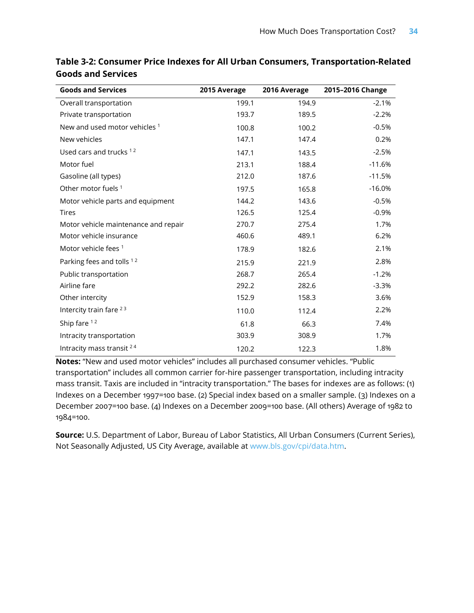| <b>Goods and Services</b>            | 2015 Average | 2016 Average | 2015-2016 Change |
|--------------------------------------|--------------|--------------|------------------|
| Overall transportation               | 199.1        | 194.9        | $-2.1%$          |
| Private transportation               | 193.7        | 189.5        | $-2.2%$          |
| New and used motor vehicles 1        | 100.8        | 100.2        | $-0.5%$          |
| New vehicles                         | 147.1        | 147.4        | 0.2%             |
| Used cars and trucks <sup>12</sup>   | 147.1        | 143.5        | $-2.5%$          |
| Motor fuel                           | 213.1        | 188.4        | $-11.6%$         |
| Gasoline (all types)                 | 212.0        | 187.6        | $-11.5%$         |
| Other motor fuels <sup>1</sup>       | 197.5        | 165.8        | $-16.0%$         |
| Motor vehicle parts and equipment    | 144.2        | 143.6        | $-0.5%$          |
| Tires                                | 126.5        | 125.4        | $-0.9%$          |
| Motor vehicle maintenance and repair | 270.7        | 275.4        | 1.7%             |
| Motor vehicle insurance              | 460.6        | 489.1        | 6.2%             |
| Motor vehicle fees <sup>1</sup>      | 178.9        | 182.6        | 2.1%             |
| Parking fees and tolls 12            | 215.9        | 221.9        | 2.8%             |
| Public transportation                | 268.7        | 265.4        | $-1.2%$          |
| Airline fare                         | 292.2        | 282.6        | $-3.3%$          |
| Other intercity                      | 152.9        | 158.3        | 3.6%             |
| Intercity train fare 23              | 110.0        | 112.4        | 2.2%             |
| Ship fare 12                         | 61.8         | 66.3         | 7.4%             |
| Intracity transportation             | 303.9        | 308.9        | 1.7%             |
| Intracity mass transit 24            | 120.2        | 122.3        | 1.8%             |

**Table 3-2: Consumer Price Indexes for All Urban Consumers, Transportation-Related Goods and Services**

**Notes:** "New and used motor vehicles" includes all purchased consumer vehicles. "Public transportation" includes all common carrier for-hire passenger transportation, including intracity mass transit. Taxis are included in "intracity transportation." The bases for indexes are as follows: (1) Indexes on a December 1997=100 base. (2) Special index based on a smaller sample. (3) Indexes on a December 2007=100 base. (4) Indexes on a December 2009=100 base. (All others) Average of 1982 to 1984=100.

**Source:** U.S. Department of Labor, Bureau of Labor Statistics, All Urban Consumers (Current Series), Not Seasonally Adjusted, US City Average, available at [www.bls.gov/cpi/data](http://www.bls.gov/cpi/data.htm).htm.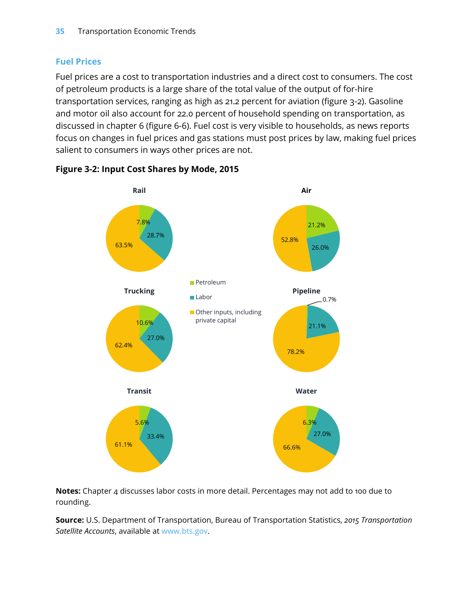# **Fuel Prices**

Fuel prices are a cost to transportation industries and a direct cost to consumers. The cost of petroleum products is a large share of the total value of the output of for-hire transportation services, ranging as high as 21.2 percent for aviation (figure 3-2). Gasoline and motor oil also account for 22.0 percent of household spending on transportation, as discussed in chapter 6 (figure 6-6). Fuel cost is very visible to households, as news reports focus on changes in fuel prices and gas stations must post prices by law, making fuel prices salient to consumers in ways other prices are not.



**Figure 3-2: Input Cost Shares by Mode, 2015**

**Notes:** Chapter 4 discusses labor costs in more detail. Percentages may not add to 100 due to rounding.

**Source:** U.S. Department of Transportation, Bureau of Transportation Statistics, *2015 Transportation Satellite Accounts*, available at [www.bts.gov](http://www.bts.gov/).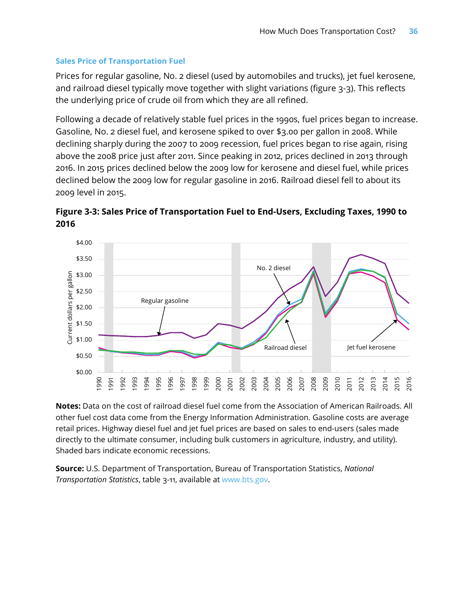#### **Sales Price of Transportation Fuel**

Prices for regular gasoline, No. 2 diesel (used by automobiles and trucks), jet fuel kerosene, and railroad diesel typically move together with slight variations (figure 3-3). This reflects the underlying price of crude oil from which they are all refined.

Following a decade of relatively stable fuel prices in the 1990s, fuel prices began to increase. Gasoline, No. 2 diesel fuel, and kerosene spiked to over \$3.00 per gallon in 2008. While declining sharply during the 2007 to 2009 recession, fuel prices began to rise again, rising above the 2008 price just after 2011. Since peaking in 2012, prices declined in 2013 through 2016. In 2015 prices declined below the 2009 low for kerosene and diesel fuel, while prices declined below the 2009 low for regular gasoline in 2016. Railroad diesel fell to about its 2009 level in 2015.





**Notes:** Data on the cost of railroad diesel fuel come from the Association of American Railroads. All other fuel cost data come from the Energy Information Administration. Gasoline costs are average retail prices. Highway diesel fuel and jet fuel prices are based on sales to end-users (sales made directly to the ultimate consumer, including bulk customers in agriculture, industry, and utility). Shaded bars indicate economic recessions.

**Source:** U.S. Department of Transportation, Bureau of Transportation Statistics, *National Transportation Statistics*, table 3-11, available at [www.bts.gov](http://www.bts.gov/).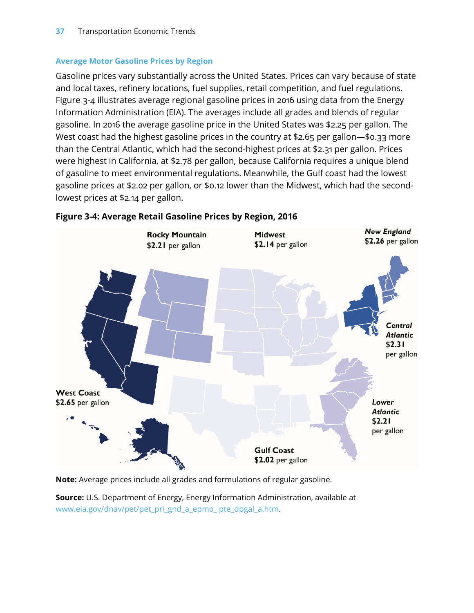#### **Average Motor Gasoline Prices by Region**

Gasoline prices vary substantially across the United States. Prices can vary because of state and local taxes, refinery locations, fuel supplies, retail competition, and fuel regulations. Figure 3-4 illustrates average regional gasoline prices in 2016 using data from the Energy Information Administration (EIA). The averages include all grades and blends of regular gasoline. In 2016 the average gasoline price in the United States was \$2.25 per gallon. The West coast had the highest gasoline prices in the country at \$2.65 per gallon—\$0.33 more than the Central Atlantic, which had the second-highest prices at \$2.31 per gallon. Prices were highest in California, at \$2.78 per gallon, because California requires a unique blend of gasoline to meet environmental regulations. Meanwhile, the Gulf coast had the lowest gasoline prices at \$2.02 per gallon, or \$0.12 lower than the Midwest, which had the secondlowest prices at \$2.14 per gallon.



#### **Figure 3-4: Average Retail Gasoline Prices by Region, 2016**

**Note:** Average prices include all grades and formulations of regular gasoline.

**Source:** U.S. Department of Energy, Energy Information Administration, available at [www.eia.gov/dnav/pet/pet\\_pri\\_gnd\\_a\\_epm0\\_ pte\\_dpgal\\_a.htm](http://www.eia.gov/dnav/pet/pet_pri_gnd_a_epm0_%20pte_dpgal_a.htm).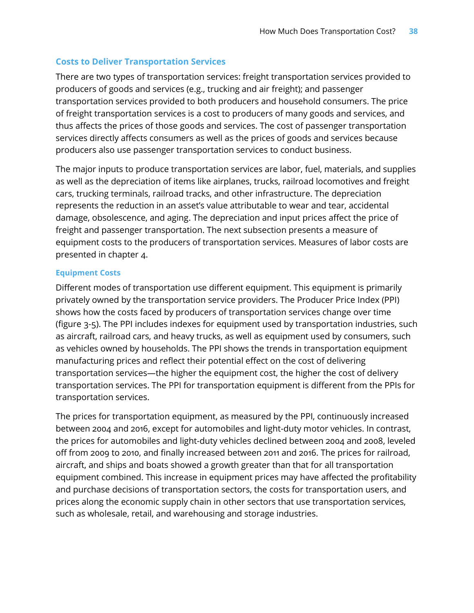#### **Costs to Deliver Transportation Services**

There are two types of transportation services: freight transportation services provided to producers of goods and services (e.g., trucking and air freight); and passenger transportation services provided to both producers and household consumers. The price of freight transportation services is a cost to producers of many goods and services, and thus affects the prices of those goods and services. The cost of passenger transportation services directly affects consumers as well as the prices of goods and services because producers also use passenger transportation services to conduct business.

The major inputs to produce transportation services are labor, fuel, materials, and supplies as well as the depreciation of items like airplanes, trucks, railroad locomotives and freight cars, trucking terminals, railroad tracks, and other infrastructure. The depreciation represents the reduction in an asset's value attributable to wear and tear, accidental damage, obsolescence, and aging. The depreciation and input prices affect the price of freight and passenger transportation. The next subsection presents a measure of equipment costs to the producers of transportation services. Measures of labor costs are presented in chapter 4.

#### **Equipment Costs**

Different modes of transportation use different equipment. This equipment is primarily privately owned by the transportation service providers. The Producer Price Index (PPI) shows how the costs faced by producers of transportation services change over time (figure 3-5). The PPI includes indexes for equipment used by transportation industries, such as aircraft, railroad cars, and heavy trucks, as well as equipment used by consumers, such as vehicles owned by households. The PPI shows the trends in transportation equipment manufacturing prices and reflect their potential effect on the cost of delivering transportation services—the higher the equipment cost, the higher the cost of delivery transportation services. The PPI for transportation equipment is different from the PPIs for transportation services.

The prices for transportation equipment, as measured by the PPI, continuously increased between 2004 and 2016, except for automobiles and light-duty motor vehicles. In contrast, the prices for automobiles and light-duty vehicles declined between 2004 and 2008, leveled off from 2009 to 2010, and finally increased between 2011 and 2016. The prices for railroad, aircraft, and ships and boats showed a growth greater than that for all transportation equipment combined. This increase in equipment prices may have affected the profitability and purchase decisions of transportation sectors, the costs for transportation users, and prices along the economic supply chain in other sectors that use transportation services, such as wholesale, retail, and warehousing and storage industries.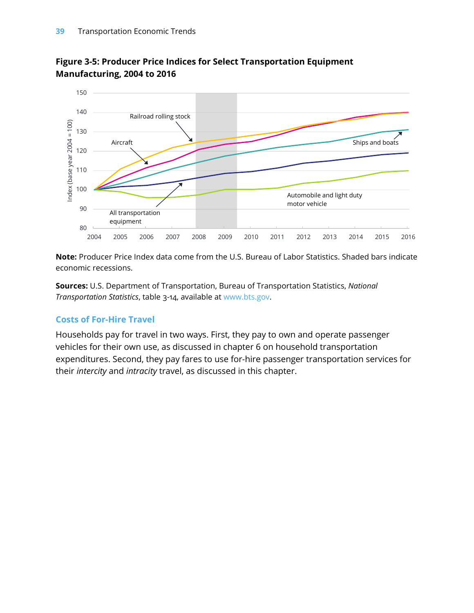

# **Figure 3-5: Producer Price Indices for Select Transportation Equipment Manufacturing, 2004 to 2016**

**Note:** Producer Price Index data come from the U.S. Bureau of Labor Statistics. Shaded bars indicate economic recessions.

**Sources:** U.S. Department of Transportation, Bureau of Transportation Statistics, *National Transportation Statistics*, table 3-14, available at [www.bts.gov](http://www.bts.gov/).

# **Costs of For-Hire Travel**

Households pay for travel in two ways. First, they pay to own and operate passenger vehicles for their own use, as discussed in chapter 6 on household transportation expenditures. Second, they pay fares to use for-hire passenger transportation services for their *intercity* and *intracity* travel, as discussed in this chapter.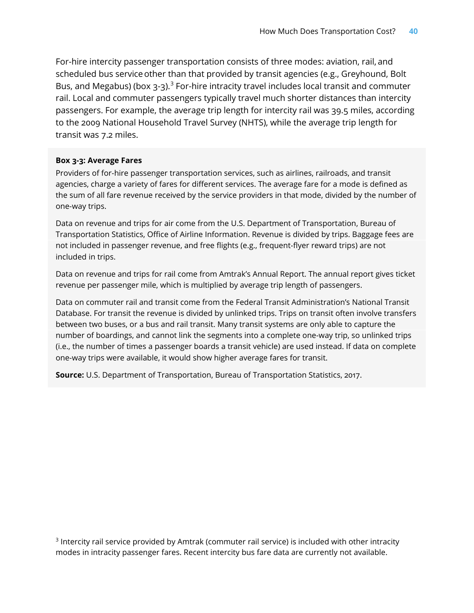For-hire intercity passenger transportation consists of three modes: aviation, rail, and scheduled bus service other than that provided by transit agencies (e.g., Greyhound, Bolt Bus, and Megabus) (box  $3-3$  $3-3$ ).<sup>3</sup> For-hire intracity travel includes local transit and commuter rail. Local and commuter passengers typically travel much shorter distances than intercity passengers. For example, the average trip length for intercity rail was 39.5 miles, according to the 2009 National Household Travel Survey (NHTS), while the average trip length for transit was 7.2 miles.

#### **Box 3-3: Average Fares**

Providers of for-hire passenger transportation services, such as airlines, railroads, and transit agencies, charge a variety of fares for different services. The average fare for a mode is defined as the sum of all fare revenue received by the service providers in that mode, divided by the number of one-way trips.

Data on revenue and trips for air come from the U.S. Department of Transportation, Bureau of Transportation Statistics, Office of Airline Information. Revenue is divided by trips. Baggage fees are not included in passenger revenue, and free flights (e.g., frequent-flyer reward trips) are not included in trips.

Data on revenue and trips for rail come from Amtrak's Annual Report. The annual report gives ticket revenue per passenger mile, which is multiplied by average trip length of passengers.

Data on commuter rail and transit come from the Federal Transit Administration's National Transit Database. For transit the revenue is divided by unlinked trips. Trips on transit often involve transfers between two buses, or a bus and rail transit. Many transit systems are only able to capture the number of boardings, and cannot link the segments into a complete one-way trip, so unlinked trips (i.e., the number of times a passenger boards a transit vehicle) are used instead. If data on complete one-way trips were available, it would show higher average fares for transit.

**Source:** U.S. Department of Transportation, Bureau of Transportation Statistics, 2017.

<span id="page-11-0"></span><sup>3</sup> Intercity rail service provided by Amtrak (commuter rail service) is included with other intracity modes in intracity passenger fares. Recent intercity bus fare data are currently not available.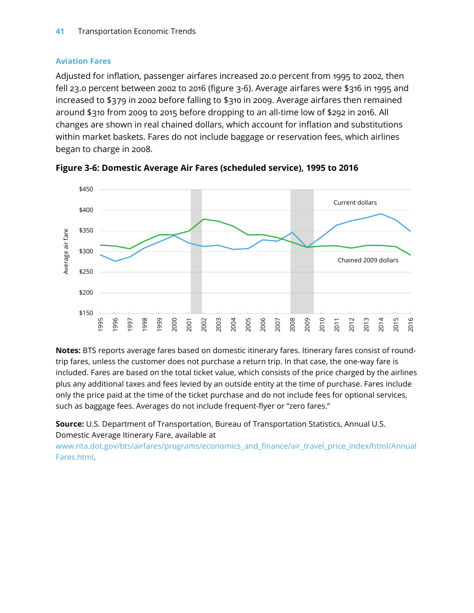## **Aviation Fares**

Adjusted for inflation, passenger airfares increased 20.0 percent from 1995 to 2002, then fell 23.0 percent between 2002 to 2016 (figure 3-6). Average airfares were \$316 in 1995 and increased to \$379 in 2002 before falling to \$310 in 2009. Average airfares then remained around \$310 from 2009 to 2015 before dropping to an all-time low of \$292 in 2016. All changes are shown in real chained dollars, which account for inflation and substitutions within market baskets. Fares do not include baggage or reservation fees, which airlines began to charge in 2008.



**Figure 3-6: Domestic Average Air Fares (scheduled service), 1995 to 2016**

**Notes:** BTS reports average fares based on domestic itinerary fares. Itinerary fares consist of roundtrip fares, unless the customer does not purchase a return trip. In that case, the one-way fare is included. Fares are based on the total ticket value, which consists of the price charged by the airlines plus any additional taxes and fees levied by an outside entity at the time of purchase. Fares include only the price paid at the time of the ticket purchase and do not include fees for optional services, such as baggage fees. Averages do not include frequent-flyer or "zero fares."

**Source:** U.S. Department of Transportation, Bureau of Transportation Statistics, Annual U.S. Domestic Average Itinerary Fare, available at

[www.rita.dot.gov/bts/airfares/programs/economics\\_and\\_finance/air\\_travel\\_price\\_index/html/Annual](https://www.rita.dot.gov/bts/airfares/programs/economics_and_finance/air_travel_price_index/html/AnnualFares.html) [Fares.html.](https://www.rita.dot.gov/bts/airfares/programs/economics_and_finance/air_travel_price_index/html/AnnualFares.html)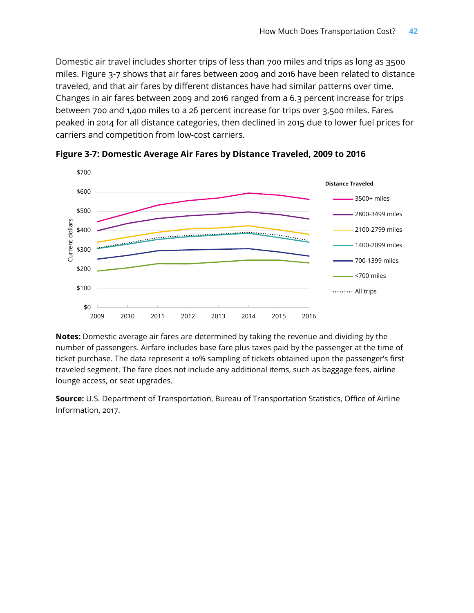Domestic air travel includes shorter trips of less than 700 miles and trips as long as 3500 miles. Figure 3-7 shows that air fares between 2009 and 2016 have been related to distance traveled, and that air fares by different distances have had similar patterns over time. Changes in air fares between 2009 and 2016 ranged from a 6.3 percent increase for trips between 700 and 1,400 miles to a 26 percent increase for trips over 3,500 miles. Fares peaked in 2014 for all distance categories, then declined in 2015 due to lower fuel prices for carriers and competition from low-cost carriers.



**Figure 3-7: Domestic Average Air Fares by Distance Traveled, 2009 to 2016**

**Notes:** Domestic average air fares are determined by taking the revenue and dividing by the number of passengers. Airfare includes base fare plus taxes paid by the passenger at the time of ticket purchase. The data represent a 10% sampling of tickets obtained upon the passenger's first traveled segment. The fare does not include any additional items, such as baggage fees, airline lounge access, or seat upgrades.

**Source:** U.S. Department of Transportation, Bureau of Transportation Statistics, Office of Airline Information, 2017.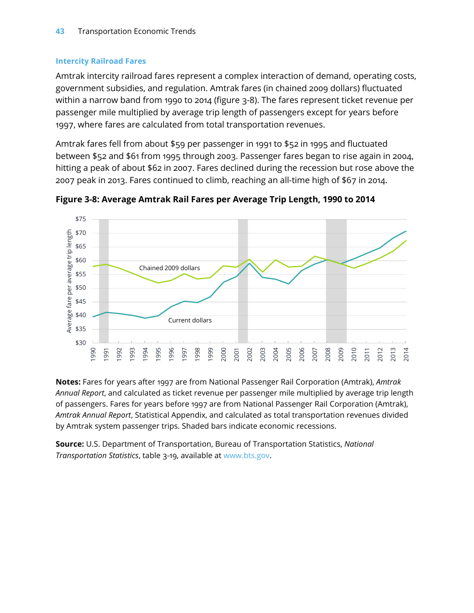## **Intercity Railroad Fares**

Amtrak intercity railroad fares represent a complex interaction of demand, operating costs, government subsidies, and regulation. Amtrak fares (in chained 2009 dollars) fluctuated within a narrow band from 1990 to 2014 (figure 3-8). The fares represent ticket revenue per passenger mile multiplied by average trip length of passengers except for years before 1997, where fares are calculated from total transportation revenues.

Amtrak fares fell from about \$59 per passenger in 1991 to \$52 in 1995 and fluctuated between \$52 and \$61 from 1995 through 2003. Passenger fares began to rise again in 2004, hitting a peak of about \$62 in 2007. Fares declined during the recession but rose above the 2007 peak in 2013. Fares continued to climb, reaching an all-time high of \$67 in 2014.



**Figure 3-8: Average Amtrak Rail Fares per Average Trip Length, 1990 to 2014**

**Notes:** Fares for years after 1997 are from National Passenger Rail Corporation (Amtrak), *Amtrak Annual Report*, and calculated as ticket revenue per passenger mile multiplied by average trip length of passengers. Fares for years before 1997 are from National Passenger Rail Corporation (Amtrak), *Amtrak Annual Report*, Statistical Appendix, and calculated as total transportation revenues divided by Amtrak system passenger trips. Shaded bars indicate economic recessions.

**Source:** U.S. Department of Transportation, Bureau of Transportation Statistics, *National Transportation Statistics*, table 3-19, available at [www.bts.gov](http://www.bts.gov/).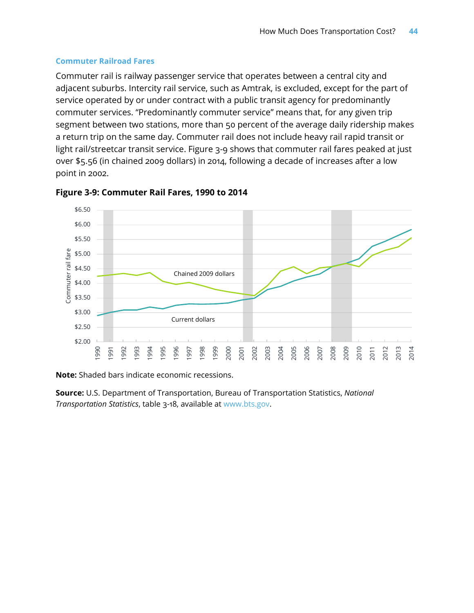#### **Commuter Railroad Fares**

Commuter rail is railway passenger service that operates between a central city and adjacent suburbs. Intercity rail service, such as Amtrak, is excluded, except for the part of service operated by or under contract with a public transit agency for predominantly commuter services. "Predominantly commuter service" means that, for any given trip segment between two stations, more than 50 percent of the average daily ridership makes a return trip on the same day. Commuter rail does not include heavy rail rapid transit or light rail/streetcar transit service. Figure 3-9 shows that commuter rail fares peaked at just over \$5.56 (in chained 2009 dollars) in 2014, following a decade of increases after a low point in 2002.





**Note:** Shaded bars indicate economic recessions.

**Source:** U.S. Department of Transportation, Bureau of Transportation Statistics, *National Transportation Statistics*, table 3-18, available at [www.bts.gov](http://www.bts.gov/).